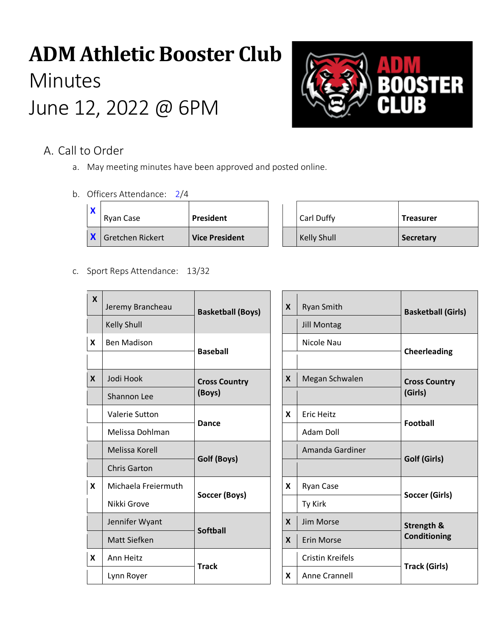# **ADM Athletic Booster Club Minutes** June 12, 2022 @ 6PM



## A. Call to Order

- a. May meeting minutes have been approved and posted online.
- b. Officers Attendance: 2/4

| Ryan Case        | President             | Carl Duffy         | <b>Treasurer</b> |
|------------------|-----------------------|--------------------|------------------|
| Gretchen Rickert | <b>Vice President</b> | <b>Kelly Shull</b> | Secretary        |

c. Sport Reps Attendance: 13/32

| $\mathbf{x}$     | Jeremy Brancheau    | <b>Basketball (Boys)</b> | X | <b>Ryan Smith</b>       | <b>Basketball (Girls)</b> |
|------------------|---------------------|--------------------------|---|-------------------------|---------------------------|
|                  | <b>Kelly Shull</b>  |                          |   | <b>Jill Montag</b>      |                           |
| X                | <b>Ben Madison</b>  | <b>Baseball</b>          |   | Nicole Nau              | <b>Cheerleading</b>       |
|                  |                     |                          |   |                         |                           |
| $\boldsymbol{X}$ | Jodi Hook           | <b>Cross Country</b>     | X | Megan Schwalen          | <b>Cross Country</b>      |
|                  | Shannon Lee         | (Boys)                   |   |                         | (Girls)                   |
|                  | Valerie Sutton      | Dance                    | X | <b>Eric Heitz</b>       |                           |
|                  | Melissa Dohlman     |                          |   | Adam Doll               | <b>Football</b>           |
|                  | Melissa Korell      |                          |   | Amanda Gardiner         |                           |
|                  | <b>Chris Garton</b> | Golf (Boys)              |   |                         | Golf (Girls)              |
| X                | Michaela Freiermuth |                          | X | Ryan Case               |                           |
|                  | Nikki Grove         | Soccer (Boys)            |   | Ty Kirk                 | <b>Soccer (Girls)</b>     |
|                  | Jennifer Wyant      | <b>Softball</b>          | X | Jim Morse               | Strength &                |
|                  | <b>Matt Siefken</b> |                          | X | Erin Morse              | Conditioning              |
| X                | Ann Heitz           | <b>Track</b>             |   | <b>Cristin Kreifels</b> |                           |
|                  | Lynn Royer          |                          | X | Anne Crannell           | <b>Track (Girls)</b>      |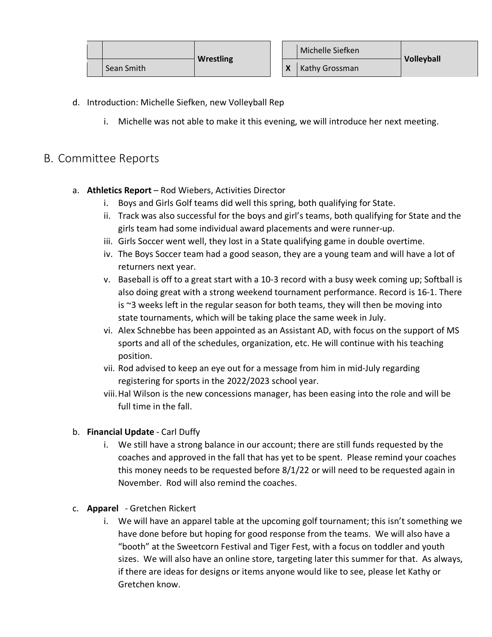|            | <b>Wrestling</b> |  | Michelle Siefken | Volleyball |
|------------|------------------|--|------------------|------------|
| Sean Smith |                  |  | Kathy Grossman   |            |

- d. Introduction: Michelle Siefken, new Volleyball Rep
	- i. Michelle was not able to make it this evening, we will introduce her next meeting.

## B. Committee Reports

- a. **Athletics Report** Rod Wiebers, Activities Director
	- i. Boys and Girls Golf teams did well this spring, both qualifying for State.
	- ii. Track was also successful for the boys and girl's teams, both qualifying for State and the girls team had some individual award placements and were runner-up.
	- iii. Girls Soccer went well, they lost in a State qualifying game in double overtime.
	- iv. The Boys Soccer team had a good season, they are a young team and will have a lot of returners next year.
	- v. Baseball is off to a great start with a 10-3 record with a busy week coming up; Softball is also doing great with a strong weekend tournament performance. Record is 16-1. There is  $\approx$ 3 weeks left in the regular season for both teams, they will then be moving into state tournaments, which will be taking place the same week in July.
	- vi. Alex Schnebbe has been appointed as an Assistant AD, with focus on the support of MS sports and all of the schedules, organization, etc. He will continue with his teaching position.
	- vii. Rod advised to keep an eye out for a message from him in mid-July regarding registering for sports in the 2022/2023 school year.
	- viii.Hal Wilson is the new concessions manager, has been easing into the role and will be full time in the fall.

## b. **Financial Update** - Carl Duffy

- i. We still have a strong balance in our account; there are still funds requested by the coaches and approved in the fall that has yet to be spent. Please remind your coaches this money needs to be requested before 8/1/22 or will need to be requested again in November. Rod will also remind the coaches.
- c. **Apparel**  Gretchen Rickert
	- i. We will have an apparel table at the upcoming golf tournament; this isn't something we have done before but hoping for good response from the teams. We will also have a "booth" at the Sweetcorn Festival and Tiger Fest, with a focus on toddler and youth sizes. We will also have an online store, targeting later this summer for that. As always, if there are ideas for designs or items anyone would like to see, please let Kathy or Gretchen know.